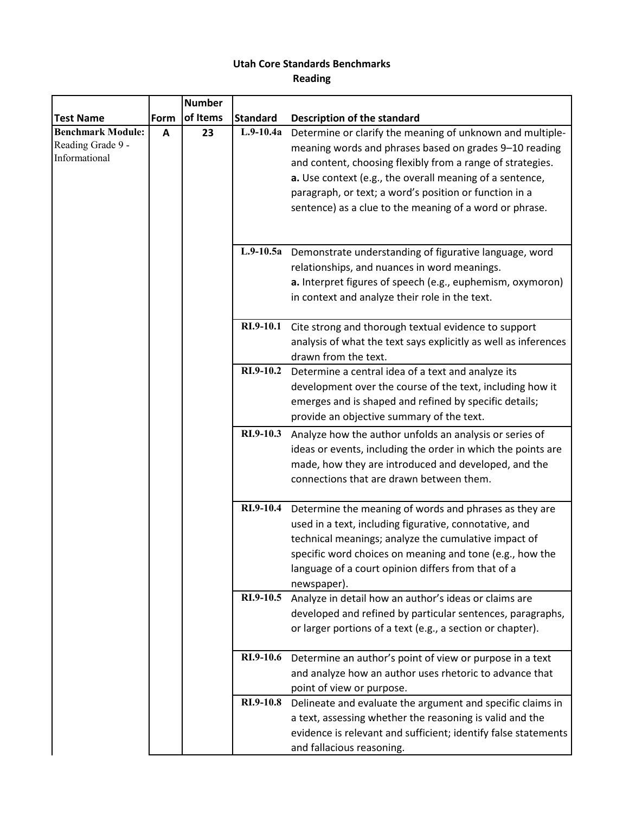## **Utah Core Standards Benchmarks Reading**

|                          |      | <b>Number</b> |                  |                                                                  |
|--------------------------|------|---------------|------------------|------------------------------------------------------------------|
| <b>Test Name</b>         | Form | of Items      | <b>Standard</b>  | Description of the standard                                      |
| <b>Benchmark Module:</b> | Α    | 23            | $L.9-10.4a$      | Determine or clarify the meaning of unknown and multiple-        |
| Reading Grade 9 -        |      |               |                  | meaning words and phrases based on grades 9-10 reading           |
| Informational            |      |               |                  | and content, choosing flexibly from a range of strategies.       |
|                          |      |               |                  | a. Use context (e.g., the overall meaning of a sentence,         |
|                          |      |               |                  | paragraph, or text; a word's position or function in a           |
|                          |      |               |                  | sentence) as a clue to the meaning of a word or phrase.          |
|                          |      |               |                  |                                                                  |
|                          |      |               |                  |                                                                  |
|                          |      |               |                  | L.9-10.5a Demonstrate understanding of figurative language, word |
|                          |      |               |                  | relationships, and nuances in word meanings.                     |
|                          |      |               |                  | a. Interpret figures of speech (e.g., euphemism, oxymoron)       |
|                          |      |               |                  | in context and analyze their role in the text.                   |
|                          |      |               |                  |                                                                  |
|                          |      |               | RI.9-10.1        | Cite strong and thorough textual evidence to support             |
|                          |      |               |                  | analysis of what the text says explicitly as well as inferences  |
|                          |      |               |                  | drawn from the text.                                             |
|                          |      |               | RI.9-10.2        | Determine a central idea of a text and analyze its               |
|                          |      |               |                  | development over the course of the text, including how it        |
|                          |      |               |                  | emerges and is shaped and refined by specific details;           |
|                          |      |               |                  | provide an objective summary of the text.                        |
|                          |      |               | RI.9-10.3        | Analyze how the author unfolds an analysis or series of          |
|                          |      |               |                  | ideas or events, including the order in which the points are     |
|                          |      |               |                  | made, how they are introduced and developed, and the             |
|                          |      |               |                  | connections that are drawn between them.                         |
|                          |      |               |                  |                                                                  |
|                          |      |               | RI.9-10.4        | Determine the meaning of words and phrases as they are           |
|                          |      |               |                  | used in a text, including figurative, connotative, and           |
|                          |      |               |                  | technical meanings; analyze the cumulative impact of             |
|                          |      |               |                  | specific word choices on meaning and tone (e.g., how the         |
|                          |      |               |                  | language of a court opinion differs from that of a               |
|                          |      |               |                  | newspaper).                                                      |
|                          |      |               | RI.9-10.5        | Analyze in detail how an author's ideas or claims are            |
|                          |      |               |                  | developed and refined by particular sentences, paragraphs,       |
|                          |      |               |                  | or larger portions of a text (e.g., a section or chapter).       |
|                          |      |               |                  |                                                                  |
|                          |      |               | <b>RI.9-10.6</b> | Determine an author's point of view or purpose in a text         |
|                          |      |               |                  | and analyze how an author uses rhetoric to advance that          |
|                          |      |               |                  | point of view or purpose.                                        |
|                          |      |               | RI.9-10.8        | Delineate and evaluate the argument and specific claims in       |
|                          |      |               |                  | a text, assessing whether the reasoning is valid and the         |
|                          |      |               |                  | evidence is relevant and sufficient; identify false statements   |
|                          |      |               |                  | and fallacious reasoning.                                        |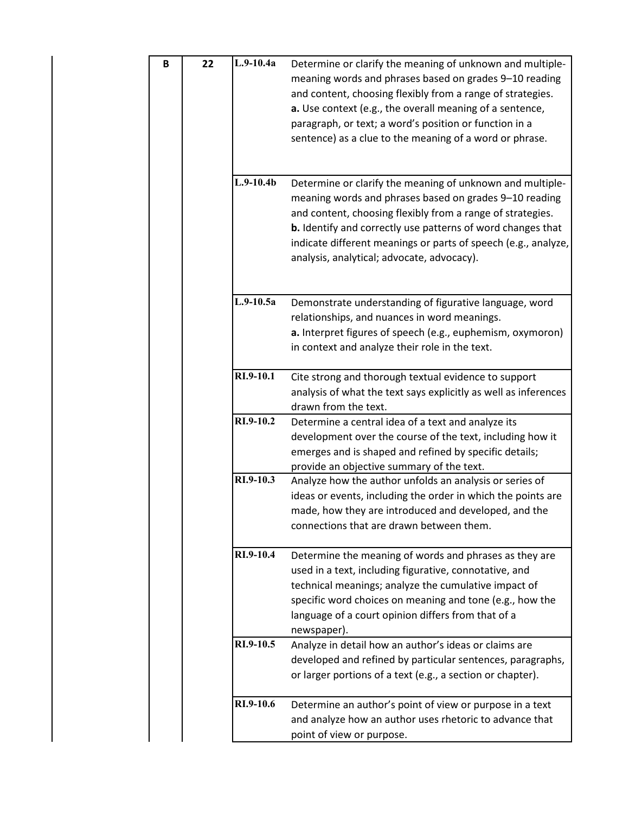| $\, {\bf B}$ | 22        | $L.9-10.4a$                                                                                                                                                                                                                 | Determine or clarify the meaning of unknown and multiple-<br>meaning words and phrases based on grades 9-10 reading<br>and content, choosing flexibly from a range of strategies.<br>a. Use context (e.g., the overall meaning of a sentence,<br>paragraph, or text; a word's position or function in a<br>sentence) as a clue to the meaning of a word or phrase.      |
|--------------|-----------|-----------------------------------------------------------------------------------------------------------------------------------------------------------------------------------------------------------------------------|-------------------------------------------------------------------------------------------------------------------------------------------------------------------------------------------------------------------------------------------------------------------------------------------------------------------------------------------------------------------------|
|              |           | $L.9-10.4b$                                                                                                                                                                                                                 | Determine or clarify the meaning of unknown and multiple-<br>meaning words and phrases based on grades 9-10 reading<br>and content, choosing flexibly from a range of strategies.<br><b>b.</b> Identify and correctly use patterns of word changes that<br>indicate different meanings or parts of speech (e.g., analyze,<br>analysis, analytical; advocate, advocacy). |
|              |           | $L.9-10.5a$                                                                                                                                                                                                                 | Demonstrate understanding of figurative language, word<br>relationships, and nuances in word meanings.<br>a. Interpret figures of speech (e.g., euphemism, oxymoron)<br>in context and analyze their role in the text.                                                                                                                                                  |
|              |           | RI.9-10.1                                                                                                                                                                                                                   | Cite strong and thorough textual evidence to support<br>analysis of what the text says explicitly as well as inferences<br>drawn from the text.                                                                                                                                                                                                                         |
|              |           | RI.9-10.2                                                                                                                                                                                                                   | Determine a central idea of a text and analyze its<br>development over the course of the text, including how it<br>emerges and is shaped and refined by specific details;<br>provide an objective summary of the text.                                                                                                                                                  |
|              | RI.9-10.3 | Analyze how the author unfolds an analysis or series of<br>ideas or events, including the order in which the points are<br>made, how they are introduced and developed, and the<br>connections that are drawn between them. |                                                                                                                                                                                                                                                                                                                                                                         |
|              |           | RI.9-10.4                                                                                                                                                                                                                   | Determine the meaning of words and phrases as they are<br>used in a text, including figurative, connotative, and<br>technical meanings; analyze the cumulative impact of<br>specific word choices on meaning and tone (e.g., how the<br>language of a court opinion differs from that of a<br>newspaper).                                                               |
|              |           | RI.9-10.5                                                                                                                                                                                                                   | Analyze in detail how an author's ideas or claims are<br>developed and refined by particular sentences, paragraphs,<br>or larger portions of a text (e.g., a section or chapter).                                                                                                                                                                                       |
|              |           | RI.9-10.6                                                                                                                                                                                                                   | Determine an author's point of view or purpose in a text<br>and analyze how an author uses rhetoric to advance that<br>point of view or purpose.                                                                                                                                                                                                                        |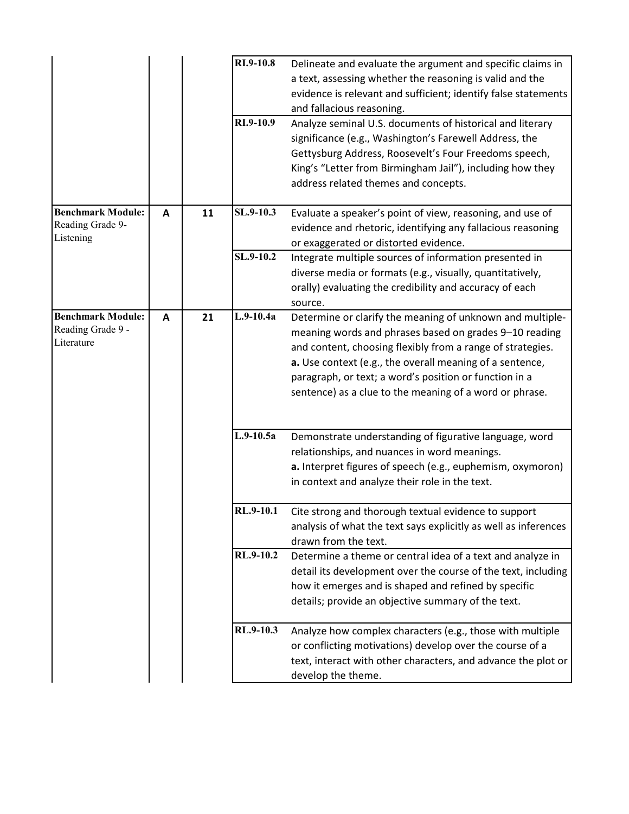|                          |   |    | RI.9-10.8   | Delineate and evaluate the argument and specific claims in                                      |
|--------------------------|---|----|-------------|-------------------------------------------------------------------------------------------------|
|                          |   |    |             | a text, assessing whether the reasoning is valid and the                                        |
|                          |   |    |             | evidence is relevant and sufficient; identify false statements                                  |
|                          |   |    |             | and fallacious reasoning.                                                                       |
|                          |   |    | RI.9-10.9   | Analyze seminal U.S. documents of historical and literary                                       |
|                          |   |    |             | significance (e.g., Washington's Farewell Address, the                                          |
|                          |   |    |             | Gettysburg Address, Roosevelt's Four Freedoms speech,                                           |
|                          |   |    |             | King's "Letter from Birmingham Jail"), including how they                                       |
|                          |   |    |             | address related themes and concepts.                                                            |
| <b>Benchmark Module:</b> | A | 11 | SL.9-10.3   | Evaluate a speaker's point of view, reasoning, and use of                                       |
| Reading Grade 9-         |   |    |             |                                                                                                 |
| Listening                |   |    |             | evidence and rhetoric, identifying any fallacious reasoning                                     |
|                          |   |    | SL.9-10.2   | or exaggerated or distorted evidence.<br>Integrate multiple sources of information presented in |
|                          |   |    |             | diverse media or formats (e.g., visually, quantitatively,                                       |
|                          |   |    |             | orally) evaluating the credibility and accuracy of each                                         |
|                          |   |    |             | source.                                                                                         |
| <b>Benchmark Module:</b> | A | 21 | $L.9-10.4a$ | Determine or clarify the meaning of unknown and multiple-                                       |
| Reading Grade 9 -        |   |    |             | meaning words and phrases based on grades 9-10 reading                                          |
| Literature               |   |    |             | and content, choosing flexibly from a range of strategies.                                      |
|                          |   |    |             | a. Use context (e.g., the overall meaning of a sentence,                                        |
|                          |   |    |             | paragraph, or text; a word's position or function in a                                          |
|                          |   |    |             | sentence) as a clue to the meaning of a word or phrase.                                         |
|                          |   |    |             |                                                                                                 |
|                          |   |    |             |                                                                                                 |
|                          |   |    | $L.9-10.5a$ | Demonstrate understanding of figurative language, word                                          |
|                          |   |    |             | relationships, and nuances in word meanings.                                                    |
|                          |   |    |             | a. Interpret figures of speech (e.g., euphemism, oxymoron)                                      |
|                          |   |    |             | in context and analyze their role in the text.                                                  |
|                          |   |    | RL.9-10.1   | Cite strong and thorough textual evidence to support                                            |
|                          |   |    |             | analysis of what the text says explicitly as well as inferences                                 |
|                          |   |    |             | drawn from the text.                                                                            |
|                          |   |    | RL.9-10.2   | Determine a theme or central idea of a text and analyze in                                      |
|                          |   |    |             | detail its development over the course of the text, including                                   |
|                          |   |    |             | how it emerges and is shaped and refined by specific                                            |
|                          |   |    |             | details; provide an objective summary of the text.                                              |
|                          |   |    | RL.9-10.3   | Analyze how complex characters (e.g., those with multiple                                       |
|                          |   |    |             | or conflicting motivations) develop over the course of a                                        |
|                          |   |    |             |                                                                                                 |
|                          |   |    |             | text, interact with other characters, and advance the plot or                                   |
|                          |   |    |             | develop the theme.                                                                              |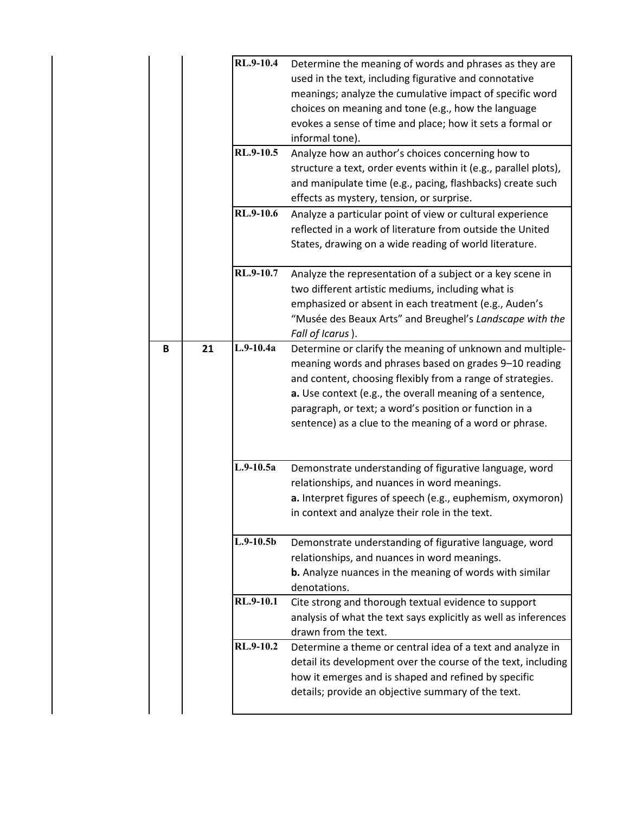|   |    | RL.9-10.4   | Determine the meaning of words and phrases as they are           |
|---|----|-------------|------------------------------------------------------------------|
|   |    |             | used in the text, including figurative and connotative           |
|   |    |             | meanings; analyze the cumulative impact of specific word         |
|   |    |             | choices on meaning and tone (e.g., how the language              |
|   |    |             | evokes a sense of time and place; how it sets a formal or        |
|   |    |             | informal tone).                                                  |
|   |    | RL.9-10.5   | Analyze how an author's choices concerning how to                |
|   |    |             | structure a text, order events within it (e.g., parallel plots), |
|   |    |             |                                                                  |
|   |    |             | and manipulate time (e.g., pacing, flashbacks) create such       |
|   |    |             | effects as mystery, tension, or surprise.                        |
|   |    | RL.9-10.6   | Analyze a particular point of view or cultural experience        |
|   |    |             | reflected in a work of literature from outside the United        |
|   |    |             | States, drawing on a wide reading of world literature.           |
|   |    | RL.9-10.7   | Analyze the representation of a subject or a key scene in        |
|   |    |             | two different artistic mediums, including what is                |
|   |    |             | emphasized or absent in each treatment (e.g., Auden's            |
|   |    |             | "Musée des Beaux Arts" and Breughel's Landscape with the         |
|   |    |             | Fall of Icarus).                                                 |
| B | 21 | $L.9-10.4a$ | Determine or clarify the meaning of unknown and multiple-        |
|   |    |             | meaning words and phrases based on grades 9-10 reading           |
|   |    |             |                                                                  |
|   |    |             | and content, choosing flexibly from a range of strategies.       |
|   |    |             | a. Use context (e.g., the overall meaning of a sentence,         |
|   |    |             | paragraph, or text; a word's position or function in a           |
|   |    |             | sentence) as a clue to the meaning of a word or phrase.          |
|   |    |             |                                                                  |
|   |    |             |                                                                  |
|   |    | $L.9-10.5a$ |                                                                  |
|   |    |             | Demonstrate understanding of figurative language, word           |
|   |    |             | relationships, and nuances in word meanings.                     |
|   |    |             | a. Interpret figures of speech (e.g., euphemism, oxymoron)       |
|   |    |             | in context and analyze their role in the text.                   |
|   |    | $L.9-10.5b$ |                                                                  |
|   |    |             | Demonstrate understanding of figurative language, word           |
|   |    |             | relationships, and nuances in word meanings.                     |
|   |    |             | <b>b.</b> Analyze nuances in the meaning of words with similar   |
|   |    |             | denotations.                                                     |
|   |    | RL.9-10.1   | Cite strong and thorough textual evidence to support             |
|   |    |             | analysis of what the text says explicitly as well as inferences  |
|   |    |             | drawn from the text.                                             |
|   |    | RL.9-10.2   | Determine a theme or central idea of a text and analyze in       |
|   |    |             | detail its development over the course of the text, including    |
|   |    |             | how it emerges and is shaped and refined by specific             |
|   |    |             | details; provide an objective summary of the text.               |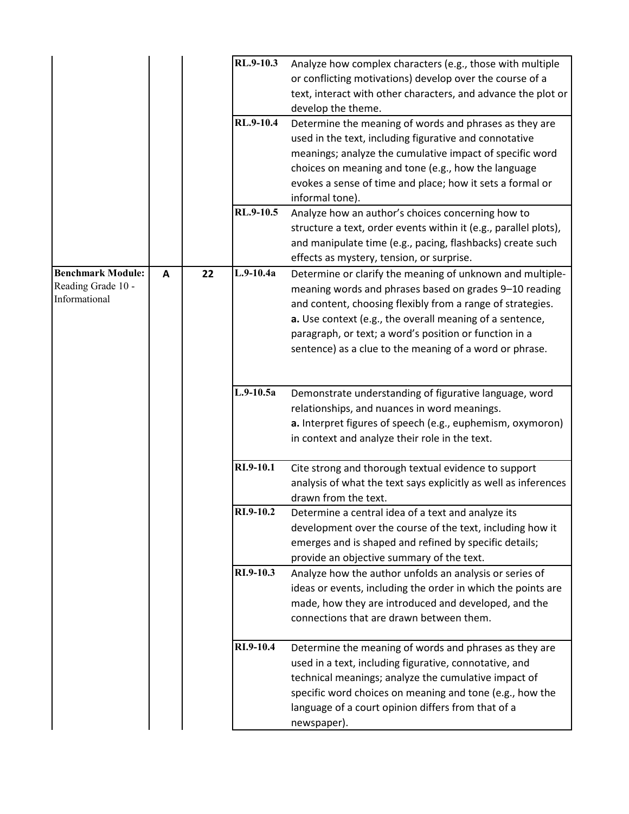|                          |   |    | RL.9-10.3   | Analyze how complex characters (e.g., those with multiple        |
|--------------------------|---|----|-------------|------------------------------------------------------------------|
|                          |   |    |             | or conflicting motivations) develop over the course of a         |
|                          |   |    |             | text, interact with other characters, and advance the plot or    |
|                          |   |    |             | develop the theme.                                               |
|                          |   |    | RL.9-10.4   | Determine the meaning of words and phrases as they are           |
|                          |   |    |             | used in the text, including figurative and connotative           |
|                          |   |    |             | meanings; analyze the cumulative impact of specific word         |
|                          |   |    |             | choices on meaning and tone (e.g., how the language              |
|                          |   |    |             | evokes a sense of time and place; how it sets a formal or        |
|                          |   |    |             | informal tone).                                                  |
|                          |   |    | RL.9-10.5   | Analyze how an author's choices concerning how to                |
|                          |   |    |             | structure a text, order events within it (e.g., parallel plots), |
|                          |   |    |             | and manipulate time (e.g., pacing, flashbacks) create such       |
|                          |   |    |             | effects as mystery, tension, or surprise.                        |
| <b>Benchmark Module:</b> | A | 22 | $L.9-10.4a$ | Determine or clarify the meaning of unknown and multiple-        |
| Reading Grade 10 -       |   |    |             | meaning words and phrases based on grades 9-10 reading           |
| Informational            |   |    |             | and content, choosing flexibly from a range of strategies.       |
|                          |   |    |             | a. Use context (e.g., the overall meaning of a sentence,         |
|                          |   |    |             | paragraph, or text; a word's position or function in a           |
|                          |   |    |             | sentence) as a clue to the meaning of a word or phrase.          |
|                          |   |    |             |                                                                  |
|                          |   |    |             |                                                                  |
|                          |   |    | $L.9-10.5a$ | Demonstrate understanding of figurative language, word           |
|                          |   |    |             | relationships, and nuances in word meanings.                     |
|                          |   |    |             | a. Interpret figures of speech (e.g., euphemism, oxymoron)       |
|                          |   |    |             | in context and analyze their role in the text.                   |
|                          |   |    | RI.9-10.1   | Cite strong and thorough textual evidence to support             |
|                          |   |    |             | analysis of what the text says explicitly as well as inferences  |
|                          |   |    |             | drawn from the text.                                             |
|                          |   |    | RI.9-10.2   | Determine a central idea of a text and analyze its               |
|                          |   |    |             | development over the course of the text, including how it        |
|                          |   |    |             | emerges and is shaped and refined by specific details;           |
|                          |   |    |             | provide an objective summary of the text.                        |
|                          |   |    | RI.9-10.3   | Analyze how the author unfolds an analysis or series of          |
|                          |   |    |             | ideas or events, including the order in which the points are     |
|                          |   |    |             | made, how they are introduced and developed, and the             |
|                          |   |    |             | connections that are drawn between them.                         |
|                          |   |    |             |                                                                  |
|                          |   |    | RI.9-10.4   | Determine the meaning of words and phrases as they are           |
|                          |   |    |             | used in a text, including figurative, connotative, and           |
|                          |   |    |             | technical meanings; analyze the cumulative impact of             |
|                          |   |    |             | specific word choices on meaning and tone (e.g., how the         |
|                          |   |    |             | language of a court opinion differs from that of a               |
|                          |   |    |             | newspaper).                                                      |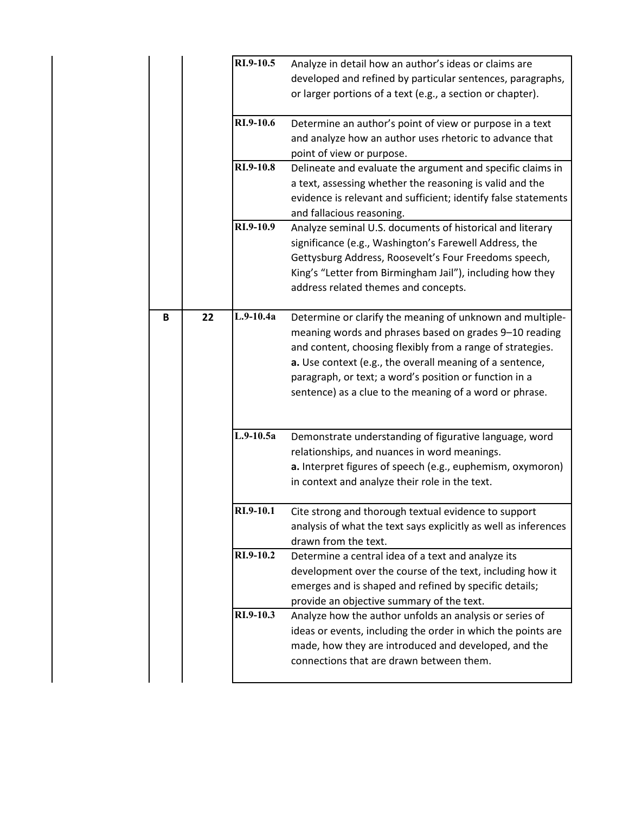|   |    | RI.9-10.5   | Analyze in detail how an author's ideas or claims are           |
|---|----|-------------|-----------------------------------------------------------------|
|   |    |             | developed and refined by particular sentences, paragraphs,      |
|   |    |             | or larger portions of a text (e.g., a section or chapter).      |
|   |    | RI.9-10.6   | Determine an author's point of view or purpose in a text        |
|   |    |             | and analyze how an author uses rhetoric to advance that         |
|   |    |             | point of view or purpose.                                       |
|   |    | RI.9-10.8   | Delineate and evaluate the argument and specific claims in      |
|   |    |             | a text, assessing whether the reasoning is valid and the        |
|   |    |             | evidence is relevant and sufficient; identify false statements  |
|   |    |             | and fallacious reasoning.                                       |
|   |    | RI.9-10.9   | Analyze seminal U.S. documents of historical and literary       |
|   |    |             | significance (e.g., Washington's Farewell Address, the          |
|   |    |             | Gettysburg Address, Roosevelt's Four Freedoms speech,           |
|   |    |             | King's "Letter from Birmingham Jail"), including how they       |
|   |    |             | address related themes and concepts.                            |
|   |    |             |                                                                 |
| B | 22 | $L.9-10.4a$ | Determine or clarify the meaning of unknown and multiple-       |
|   |    |             | meaning words and phrases based on grades 9-10 reading          |
|   |    |             | and content, choosing flexibly from a range of strategies.      |
|   |    |             | a. Use context (e.g., the overall meaning of a sentence,        |
|   |    |             | paragraph, or text; a word's position or function in a          |
|   |    |             | sentence) as a clue to the meaning of a word or phrase.         |
|   |    |             |                                                                 |
|   |    | $L.9-10.5a$ | Demonstrate understanding of figurative language, word          |
|   |    |             | relationships, and nuances in word meanings.                    |
|   |    |             | a. Interpret figures of speech (e.g., euphemism, oxymoron)      |
|   |    |             | in context and analyze their role in the text.                  |
|   |    |             |                                                                 |
|   |    | RI.9-10.1   | Cite strong and thorough textual evidence to support            |
|   |    |             | analysis of what the text says explicitly as well as inferences |
|   |    |             | drawn from the text.                                            |
|   |    | RI.9-10.2   | Determine a central idea of a text and analyze its              |
|   |    |             | development over the course of the text, including how it       |
|   |    |             | emerges and is shaped and refined by specific details;          |
|   |    |             | provide an objective summary of the text.                       |
|   |    | RI.9-10.3   | Analyze how the author unfolds an analysis or series of         |
|   |    |             | ideas or events, including the order in which the points are    |
|   |    |             | made, how they are introduced and developed, and the            |
|   |    |             | connections that are drawn between them.                        |
|   |    |             |                                                                 |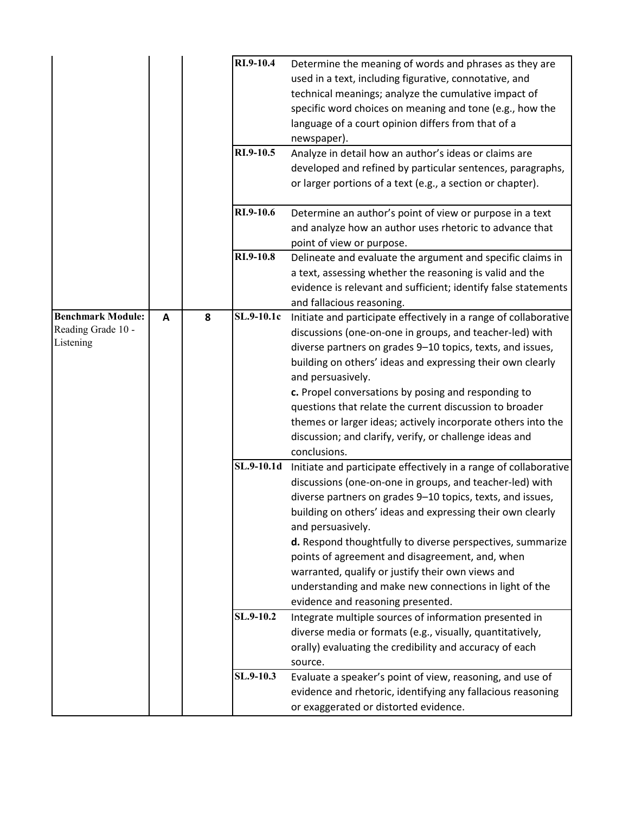|                          |   |   | RI.9-10.4  | Determine the meaning of words and phrases as they are           |
|--------------------------|---|---|------------|------------------------------------------------------------------|
|                          |   |   |            | used in a text, including figurative, connotative, and           |
|                          |   |   |            | technical meanings; analyze the cumulative impact of             |
|                          |   |   |            | specific word choices on meaning and tone (e.g., how the         |
|                          |   |   |            | language of a court opinion differs from that of a               |
|                          |   |   |            | newspaper).                                                      |
|                          |   |   | RI.9-10.5  | Analyze in detail how an author's ideas or claims are            |
|                          |   |   |            | developed and refined by particular sentences, paragraphs,       |
|                          |   |   |            | or larger portions of a text (e.g., a section or chapter).       |
|                          |   |   |            |                                                                  |
|                          |   |   | RI.9-10.6  | Determine an author's point of view or purpose in a text         |
|                          |   |   |            | and analyze how an author uses rhetoric to advance that          |
|                          |   |   |            | point of view or purpose.                                        |
|                          |   |   | RI.9-10.8  | Delineate and evaluate the argument and specific claims in       |
|                          |   |   |            | a text, assessing whether the reasoning is valid and the         |
|                          |   |   |            | evidence is relevant and sufficient; identify false statements   |
|                          |   |   |            | and fallacious reasoning.                                        |
| <b>Benchmark Module:</b> | A | 8 | SL.9-10.1c | Initiate and participate effectively in a range of collaborative |
| Reading Grade 10 -       |   |   |            | discussions (one-on-one in groups, and teacher-led) with         |
| Listening                |   |   |            | diverse partners on grades 9-10 topics, texts, and issues,       |
|                          |   |   |            | building on others' ideas and expressing their own clearly       |
|                          |   |   |            | and persuasively.                                                |
|                          |   |   |            | c. Propel conversations by posing and responding to              |
|                          |   |   |            | questions that relate the current discussion to broader          |
|                          |   |   |            | themes or larger ideas; actively incorporate others into the     |
|                          |   |   |            | discussion; and clarify, verify, or challenge ideas and          |
|                          |   |   |            | conclusions.                                                     |
|                          |   |   | SL.9-10.1d | Initiate and participate effectively in a range of collaborative |
|                          |   |   |            | discussions (one-on-one in groups, and teacher-led) with         |
|                          |   |   |            | diverse partners on grades 9-10 topics, texts, and issues,       |
|                          |   |   |            | building on others' ideas and expressing their own clearly       |
|                          |   |   |            | and persuasively.                                                |
|                          |   |   |            | d. Respond thoughtfully to diverse perspectives, summarize       |
|                          |   |   |            | points of agreement and disagreement, and, when                  |
|                          |   |   |            | warranted, qualify or justify their own views and                |
|                          |   |   |            | understanding and make new connections in light of the           |
|                          |   |   |            | evidence and reasoning presented.                                |
|                          |   |   | SL.9-10.2  | Integrate multiple sources of information presented in           |
|                          |   |   |            | diverse media or formats (e.g., visually, quantitatively,        |
|                          |   |   |            | orally) evaluating the credibility and accuracy of each          |
|                          |   |   |            | source.                                                          |
|                          |   |   | SL.9-10.3  | Evaluate a speaker's point of view, reasoning, and use of        |
|                          |   |   |            | evidence and rhetoric, identifying any fallacious reasoning      |
|                          |   |   |            |                                                                  |
|                          |   |   |            | or exaggerated or distorted evidence.                            |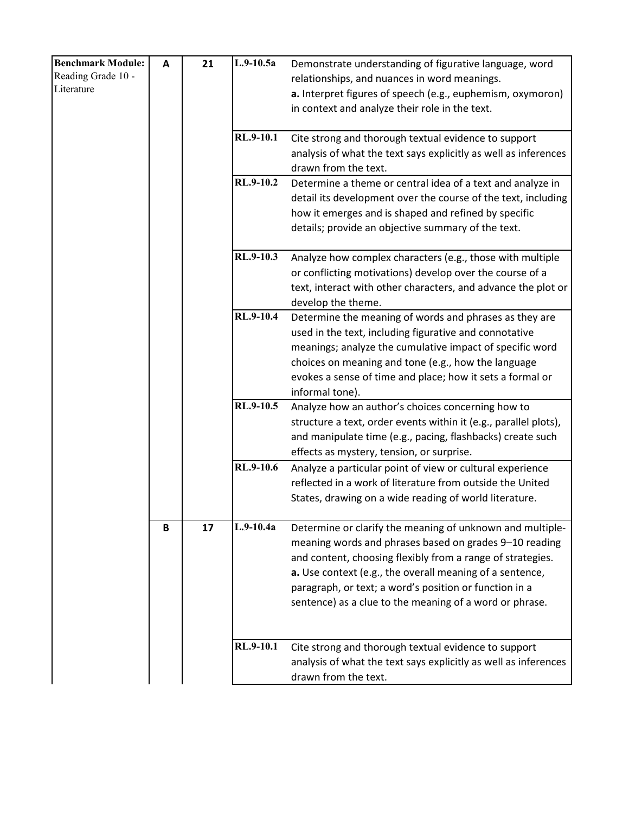| <b>Benchmark Module:</b> | A | 21 | $L.9-10.5a$      | Demonstrate understanding of figurative language, word           |
|--------------------------|---|----|------------------|------------------------------------------------------------------|
| Reading Grade 10 -       |   |    |                  | relationships, and nuances in word meanings.                     |
| Literature               |   |    |                  | a. Interpret figures of speech (e.g., euphemism, oxymoron)       |
|                          |   |    |                  | in context and analyze their role in the text.                   |
|                          |   |    |                  |                                                                  |
|                          |   |    | RL.9-10.1        | Cite strong and thorough textual evidence to support             |
|                          |   |    |                  | analysis of what the text says explicitly as well as inferences  |
|                          |   |    |                  | drawn from the text.                                             |
|                          |   |    | RL.9-10.2        | Determine a theme or central idea of a text and analyze in       |
|                          |   |    |                  | detail its development over the course of the text, including    |
|                          |   |    |                  | how it emerges and is shaped and refined by specific             |
|                          |   |    |                  | details; provide an objective summary of the text.               |
|                          |   |    |                  |                                                                  |
|                          |   |    | RL.9-10.3        | Analyze how complex characters (e.g., those with multiple        |
|                          |   |    |                  | or conflicting motivations) develop over the course of a         |
|                          |   |    |                  | text, interact with other characters, and advance the plot or    |
|                          |   |    |                  | develop the theme.                                               |
|                          |   |    | <b>RL.9-10.4</b> | Determine the meaning of words and phrases as they are           |
|                          |   |    |                  | used in the text, including figurative and connotative           |
|                          |   |    |                  | meanings; analyze the cumulative impact of specific word         |
|                          |   |    |                  | choices on meaning and tone (e.g., how the language              |
|                          |   |    |                  | evokes a sense of time and place; how it sets a formal or        |
|                          |   |    |                  | informal tone).                                                  |
|                          |   |    | RL.9-10.5        | Analyze how an author's choices concerning how to                |
|                          |   |    |                  | structure a text, order events within it (e.g., parallel plots), |
|                          |   |    |                  | and manipulate time (e.g., pacing, flashbacks) create such       |
|                          |   |    |                  | effects as mystery, tension, or surprise.                        |
|                          |   |    | RL.9-10.6        | Analyze a particular point of view or cultural experience        |
|                          |   |    |                  | reflected in a work of literature from outside the United        |
|                          |   |    |                  | States, drawing on a wide reading of world literature.           |
|                          |   |    |                  |                                                                  |
|                          | B | 17 | $L.9-10.4a$      | Determine or clarify the meaning of unknown and multiple-        |
|                          |   |    |                  | meaning words and phrases based on grades 9-10 reading           |
|                          |   |    |                  | and content, choosing flexibly from a range of strategies.       |
|                          |   |    |                  | a. Use context (e.g., the overall meaning of a sentence,         |
|                          |   |    |                  | paragraph, or text; a word's position or function in a           |
|                          |   |    |                  | sentence) as a clue to the meaning of a word or phrase.          |
|                          |   |    |                  |                                                                  |
|                          |   |    |                  |                                                                  |
|                          |   |    | RL.9-10.1        | Cite strong and thorough textual evidence to support             |
|                          |   |    |                  | analysis of what the text says explicitly as well as inferences  |
|                          |   |    |                  | drawn from the text.                                             |